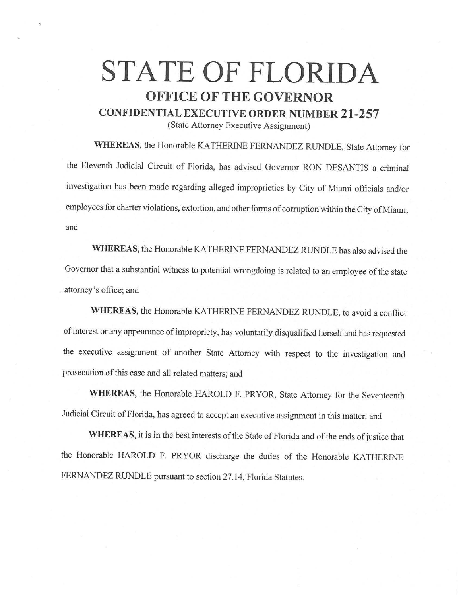## **STATE OF FLORIDA OFFICE OF THE GOVERNOR CONFIDENTIAL EXECUTIVE ORDER NUMBER 21-257**

(State Attorney Executive Assignment)

**WHEREAS,** the Honorable KATHERINE FERNANDEZ RUNDLE, State Attorney for the Eleventh Judicial Circuit of Florida, has advised Governor RON DESANTIS a criminal investigation has been made regarding alleged improprieties by City of Miami officials and/or employees for charter violations, extortion, and other forms of corruption within the City of Miami; and

**WHEREAS,** the Honorable KA THERINE FERNANDEZ RUNDLE has also advised the Governor that a substantial witness to potential wrongdoing is related to an employee of the state attorney's office; and

WHEREAS, the Honorable KATHERINE FERNANDEZ RUNDLE, to avoid a conflict of interest or any appearance of impropriety, has voluntarily disqualified herself and has requested the executive assignment of another State Attorney with respect to the investigation and prosecution of this case and all related matters; and

**WHEREAS,** the Honorable HAROLD F. PRYOR, State Attorney for the Seventeenth Judicial Circuit ofFlorida, has agreed to accept an executive assignment in this matter; and

WHEREAS, it is in the best interests of the State of Florida and of the ends of justice that the Honorable HAROLD F. PRYOR discharge the duties of the Honorable KATHERINE FERNANDEZ RUNDLE pursuant to section 27.14, Florida Statutes.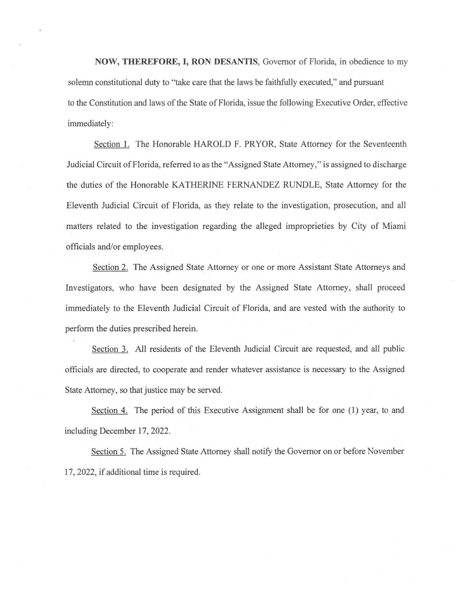**NOW, THEREFORE, I, RON DESANTIS,** Governor of Florida, in obedience to my solemn constitutional duty to "take care that the laws be faithfully executed," and pursuant to the Constitution and laws of the State of Florida, issue the following Executive Order, effective immediately:

Section l. The Honorable HAROLD F. PRYOR, State Attorney for the Seventeenth Judicial Circuit of Florida, referred to as the "Assigned State Attorney," is assigned to discharge the duties of the Honorable KATHERINE FERNANDEZ RUNDLE, State Attorney for the Eleventh Judicial Circuit of Florida, as they relate to the investigation, prosecution, and all matters related to the investigation regarding the alleged improprieties by City of Miami officials and/or employees.

Section 2. The Assigned State Attorney or one or more Assistant State Attorneys and Investigators, who have been designated by the Assigned State Attorney, shall proceed immediately to the Eleventh Judicial Circuit of Florida, and are vested with the authority to perform the duties prescribed herein.

Section 3. All residents of the Eleventh Judicial Circuit are requested, and all public officials are directed, to cooperate and render whatever assistance is necessary to the Assigned State Attorney, so that justice may be served.

Section 4. The period of this Executive Assignment shall be for one (I) year, to and including December 17, 2022.

Section 5. The Assigned State Attorney shall notify the Governor on or before November 17, 2022, if additional time is required.